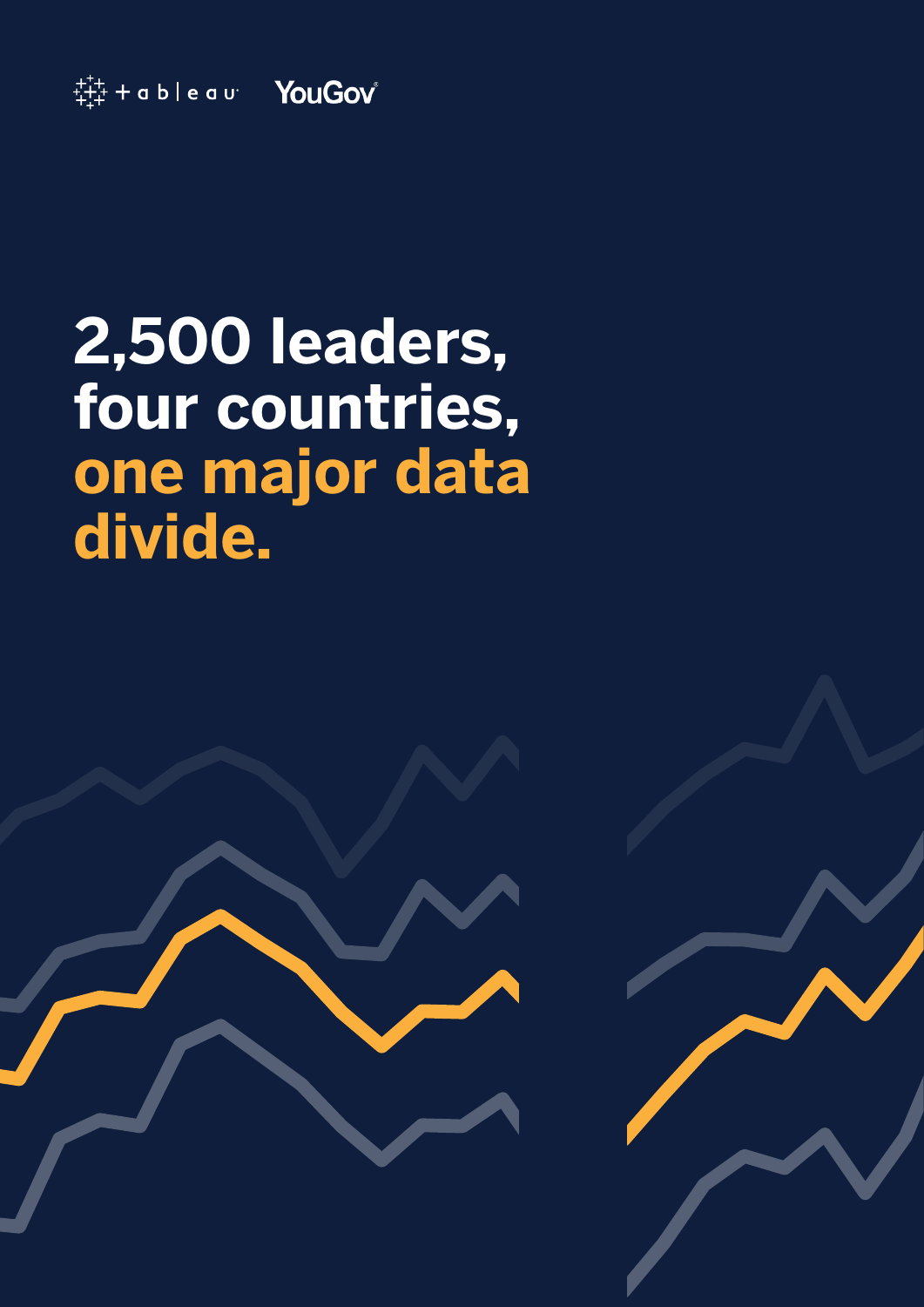

# **2,500 leaders, four countries, one major data divide.**



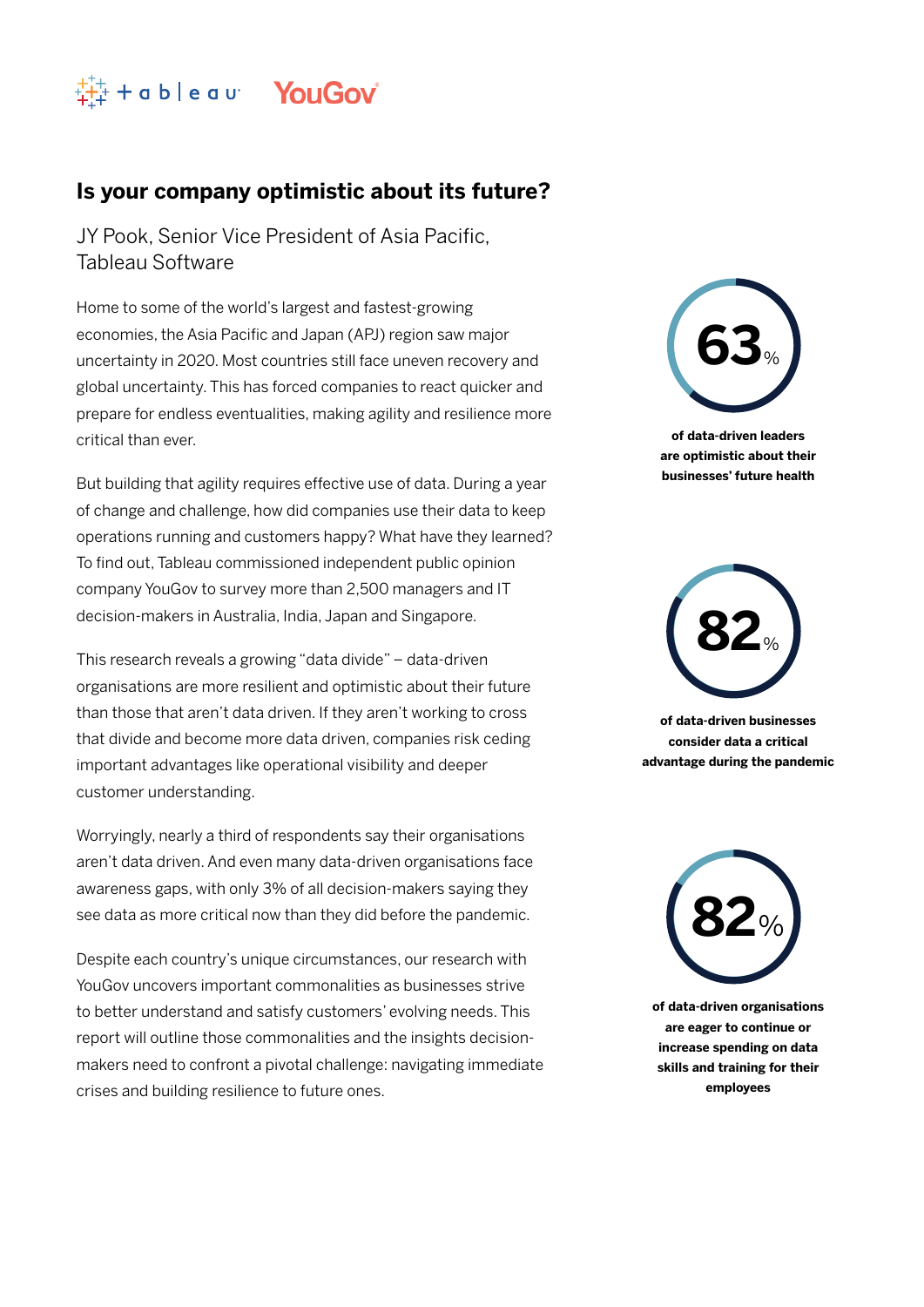

### **Is your company optimistic about its future?**

JY Pook, Senior Vice President of Asia Pacific, Tableau Software

Home to some of the world's largest and fastest-growing economies, the Asia Pacific and Japan (APJ) region saw major uncertainty in 2020. Most countries still face uneven recovery and global uncertainty. This has forced companies to react quicker and prepare for endless eventualities, making agility and resilience more critical than ever.

But building that agility requires effective use of data. During a year of change and challenge, how did companies use their data to keep operations running and customers happy? What have they learned? To find out, Tableau commissioned independent public opinion company YouGov to survey more than 2,500 managers and IT decision-makers in Australia, India, Japan and Singapore.

This research reveals a growing "data divide" – data-driven organisations are more resilient and optimistic about their future than those that aren't data driven. If they aren't working to cross that divide and become more data driven, companies risk ceding important advantages like operational visibility and deeper customer understanding.

Worryingly, nearly a third of respondents say their organisations aren't data driven. And even many data-driven organisations face awareness gaps, with only 3% of all decision-makers saying they see data as more critical now than they did before the pandemic.

Despite each country's unique circumstances, our research with YouGov uncovers important commonalities as businesses strive to better understand and satisfy customers' evolving needs. This report will outline those commonalities and the insights decisionmakers need to confront a pivotal challenge: navigating immediate crises and building resilience to future ones.



**of data-driven leaders are optimistic about their businesses' future health**



**of data-driven businesses consider data a critical advantage during the pandemic**



**of data-driven organisations are eager to continue or increase spending on data skills and training for their employees**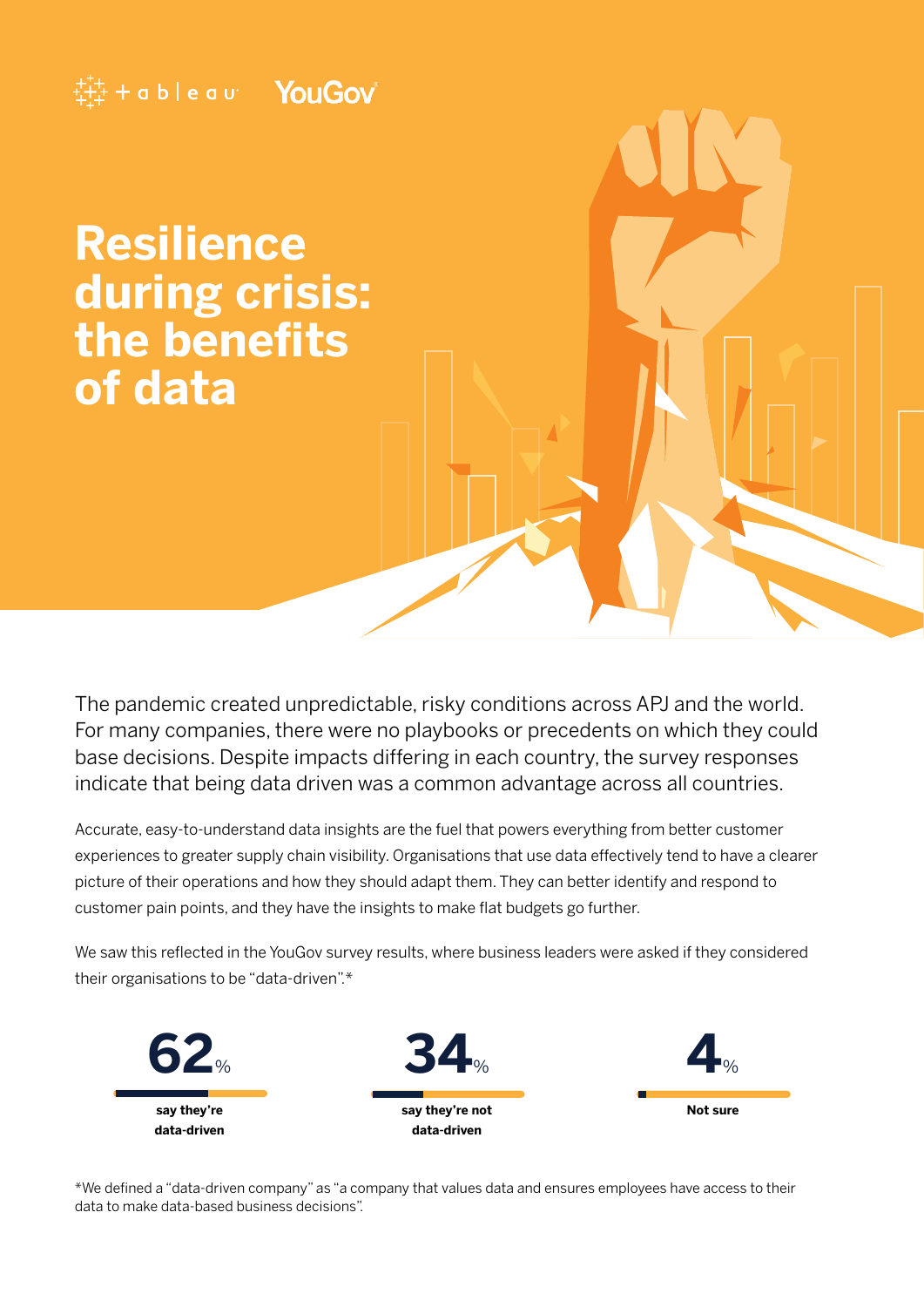### $\ddagger$   $\ddagger$   $\ddagger$  + a b  $\vdash$  e a  $\upsilon$  YouGov

**Resilience during crisis: the benefits of data**

The pandemic created unpredictable, risky conditions across APJ and the world. For many companies, there were no playbooks or precedents on which they could base decisions. Despite impacts differing in each country, the survey responses indicate that being data driven was a common advantage across all countries.

Accurate, easy-to-understand data insights are the fuel that powers everything from better customer experiences to greater supply chain visibility. Organisations that use data effectively tend to have a clearer picture of their operations and how they should adapt them. They can better identify and respond to customer pain points, and they have the insights to make flat budgets go further.

We saw this reflected in the YouGov survey results, where business leaders were asked if they considered their organisations to be "data-driven".\*



\*We defined a "data-driven company" as "a company that values data and ensures employees have access to their data to make data-based business decisions".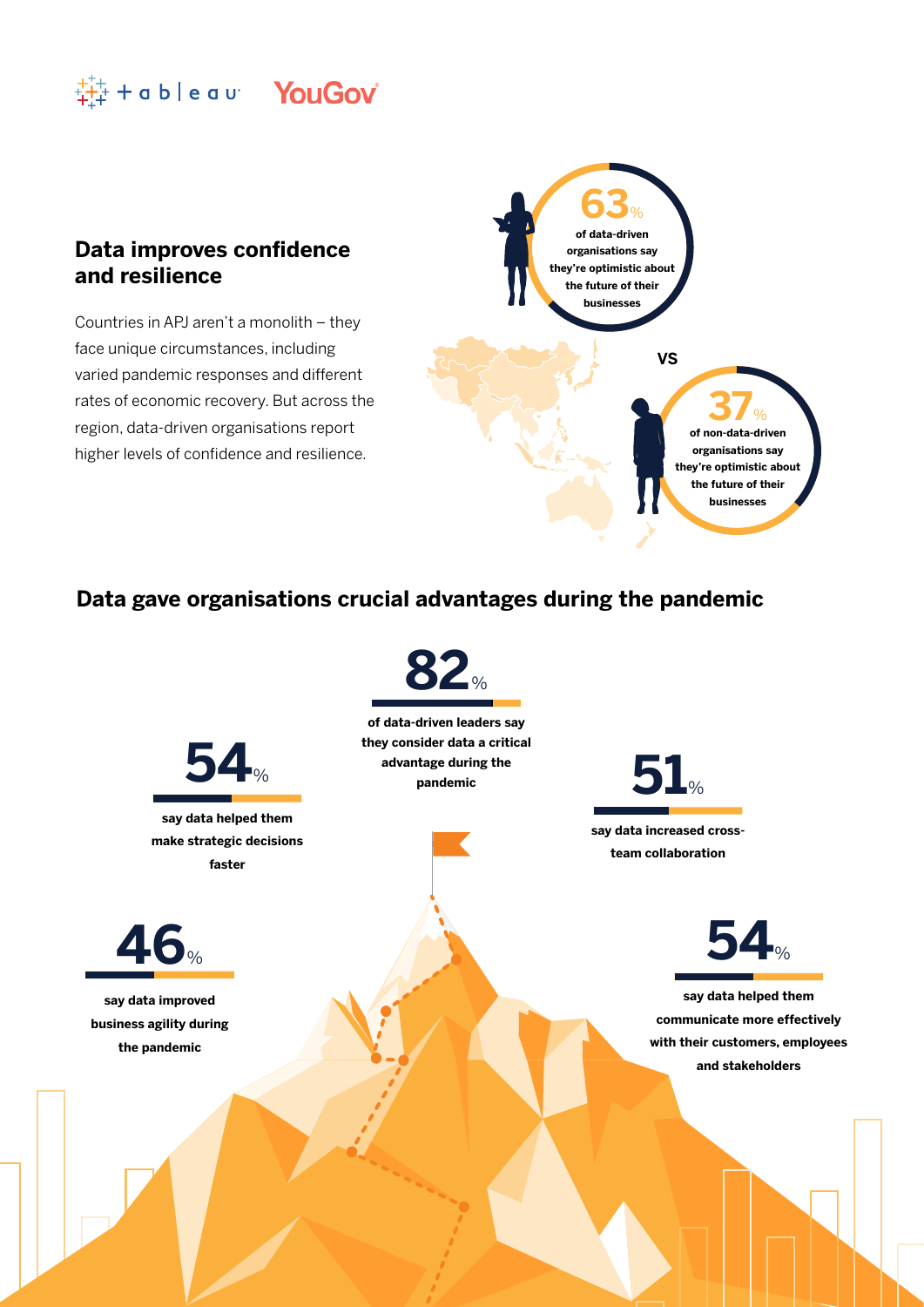

### **Data improves confidence and resilience**

Countries in APJ aren't a monolith – they face unique circumstances, including varied pandemic responses and different rates of economic recovery. But across the region, data-driven organisations report higher levels of confidence and resilience.



### **Data gave organisations crucial advantages during the pandemic**

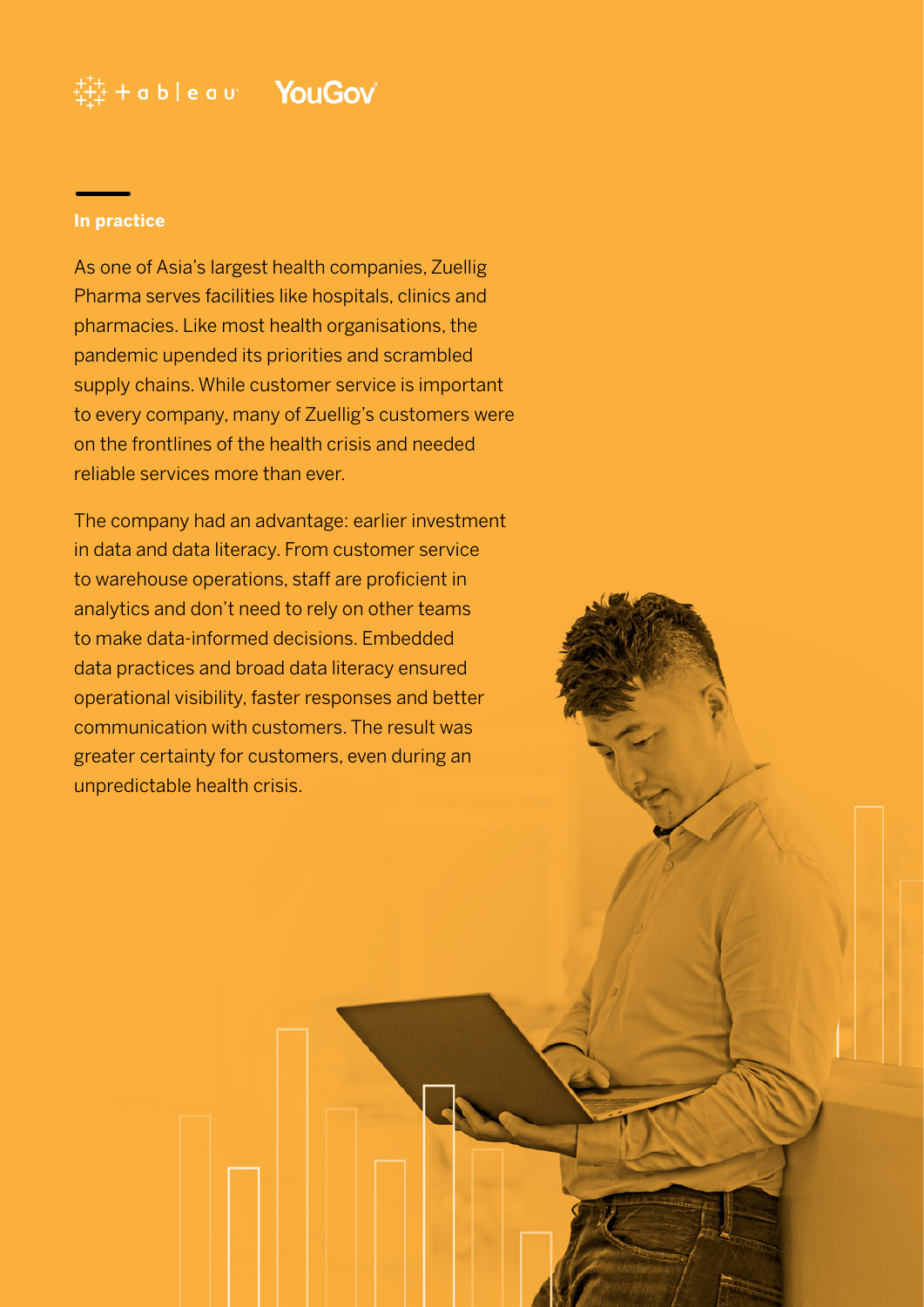### $\ddot{\ddot{\mathbb{H}}}$  + a b | e a u  $\blacksquare$  YouGov

#### **In practice**

As one of Asia's largest health companies, Zuellig Pharma serves facilities like hospitals, clinics and pharmacies. Like most health organisations, the pandemic upended its priorities and scrambled supply chains. While customer service is important to every company, many of Zuellig's customers were on the frontlines of the health crisis and needed reliable services more than ever.

The company had an advantage: earlier investment in data and data literacy. From customer service to warehouse operations, staff are proficient in analytics and don't need to rely on other teams to make data-informed decisions. Embedded data practices and broad data literacy ensured operational visibility, faster responses and better communication with customers. The result was greater certainty for customers, even during an unpredictable health crisis.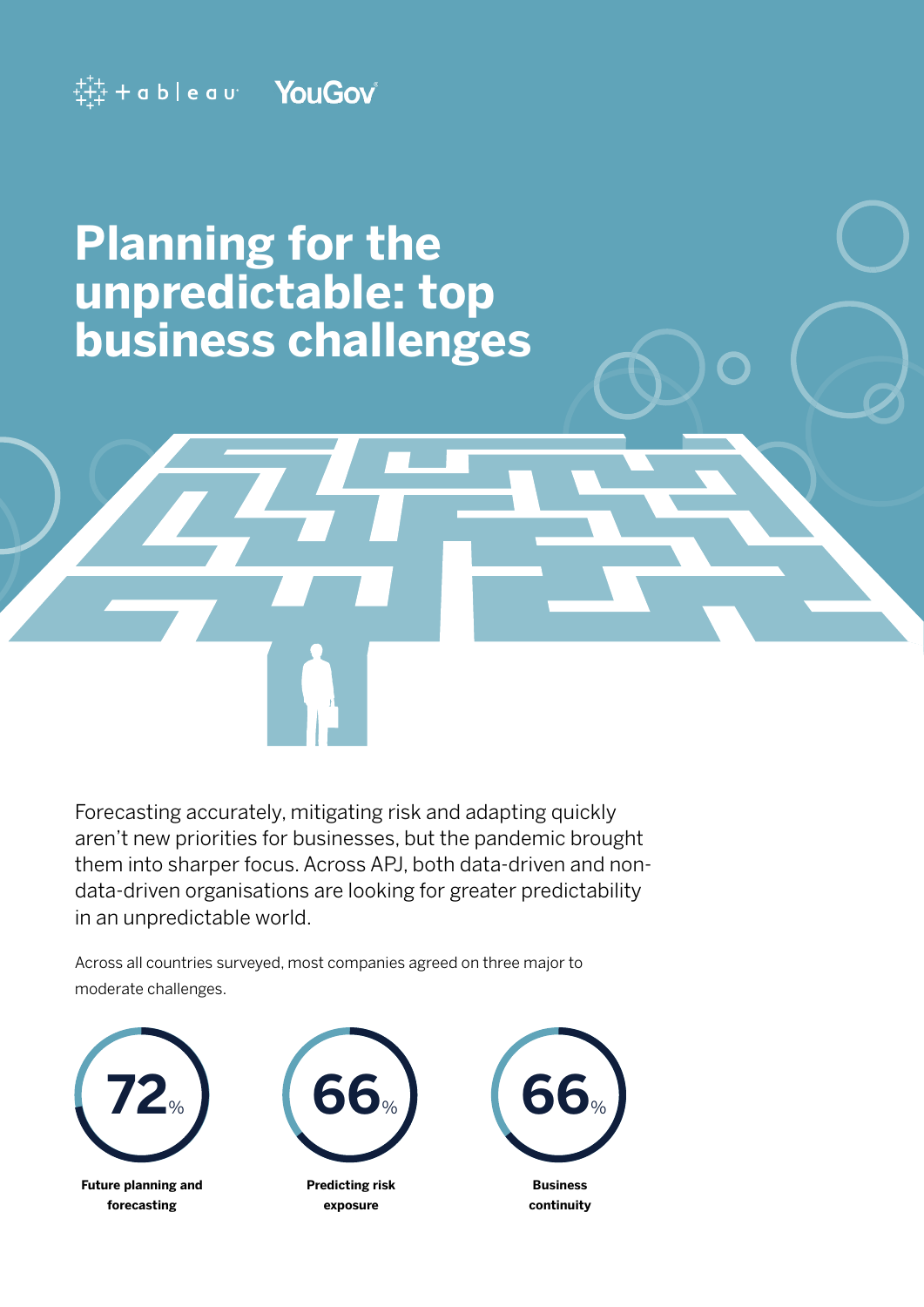

## **Planning for the unpredictable: top business challenges**

Forecasting accurately, mitigating risk and adapting quickly aren't new priorities for businesses, but the pandemic brought them into sharper focus. Across APJ, both data-driven and nondata-driven organisations are looking for greater predictability in an unpredictable world.

Across all countries surveyed, most companies agreed on three major to moderate challenges.



**Future planning and forecasting**



**Predicting risk exposure**



**continuity**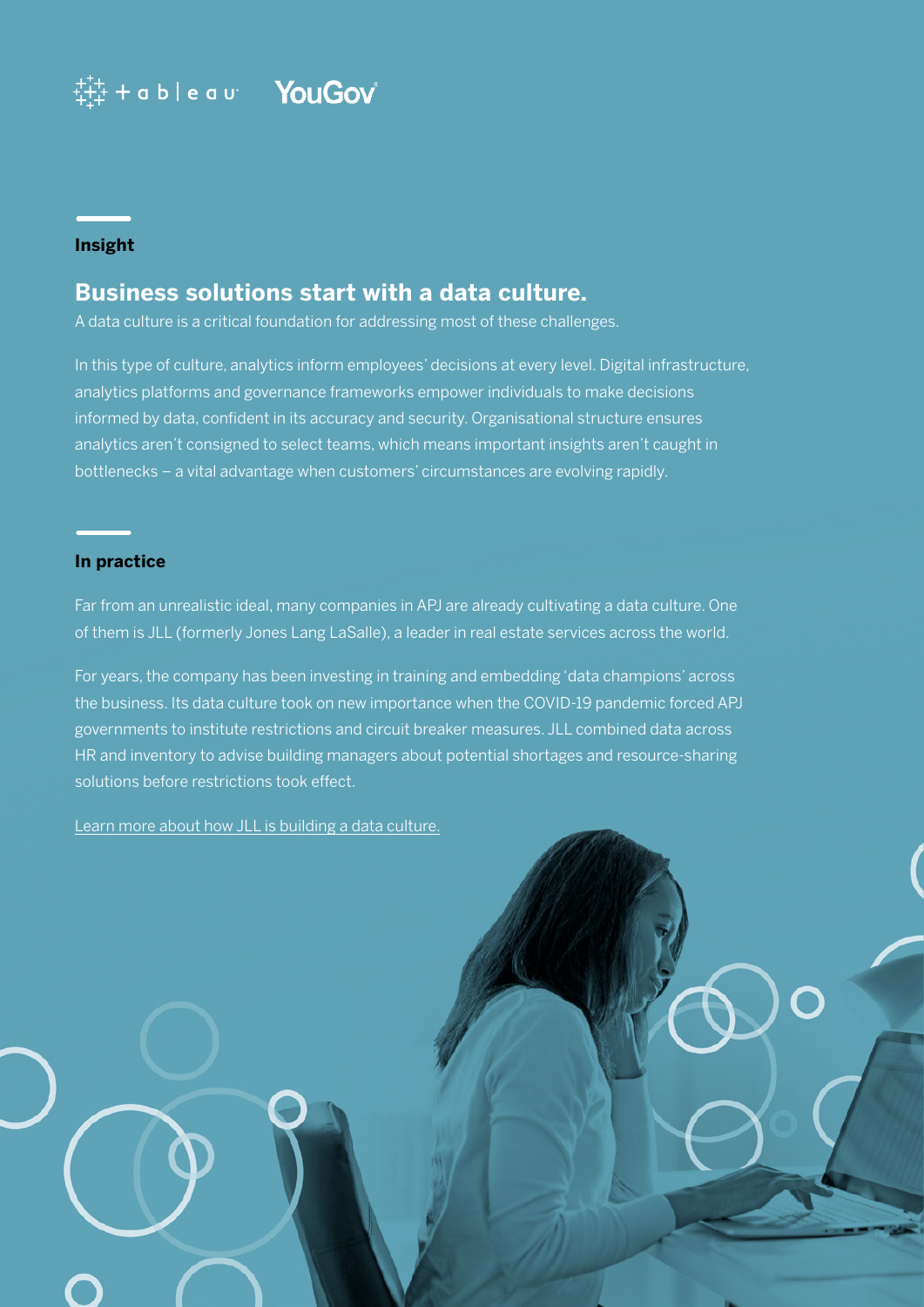### $\ddot{t}^{++}_{+1+}$  + a b | e a v  $\blacksquare$   $\blacksquare$   $\blacksquare$   $\blacksquare$   $\blacksquare$

#### **Insight**

### **Business solutions start with a data culture.**

A data culture is a critical foundation for addressing most of these challenges.

In this type of culture, analytics inform employees' decisions at every level. Digital infrastructure, analytics platforms and governance frameworks empower individuals to make decisions informed by data, confident in its accuracy and security. Organisational structure ensures analytics aren't consigned to select teams, which means important insights aren't caught in bottlenecks – a vital advantage when customers' circumstances are evolving rapidly.

#### **In practice**

Far from an unrealistic ideal, many companies in APJ are already cultivating a data culture. One of them is JLL (formerly Jones Lang LaSalle), a leader in real estate services across the world.

For years, the company has been investing in training and embedding 'data champions' across the business. Its data culture took on new importance when the COVID-19 pandemic forced APJ governments to institute restrictions and circuit breaker measures. JLL combined data across HR and inventory to advise building managers about potential shortages and resource-sharing solutions before restrictions took effect.

[Learn more about how JLL is building a data culture.](https://www.tableau.com/solutions/customer/jll-cultivating-a-data-culture)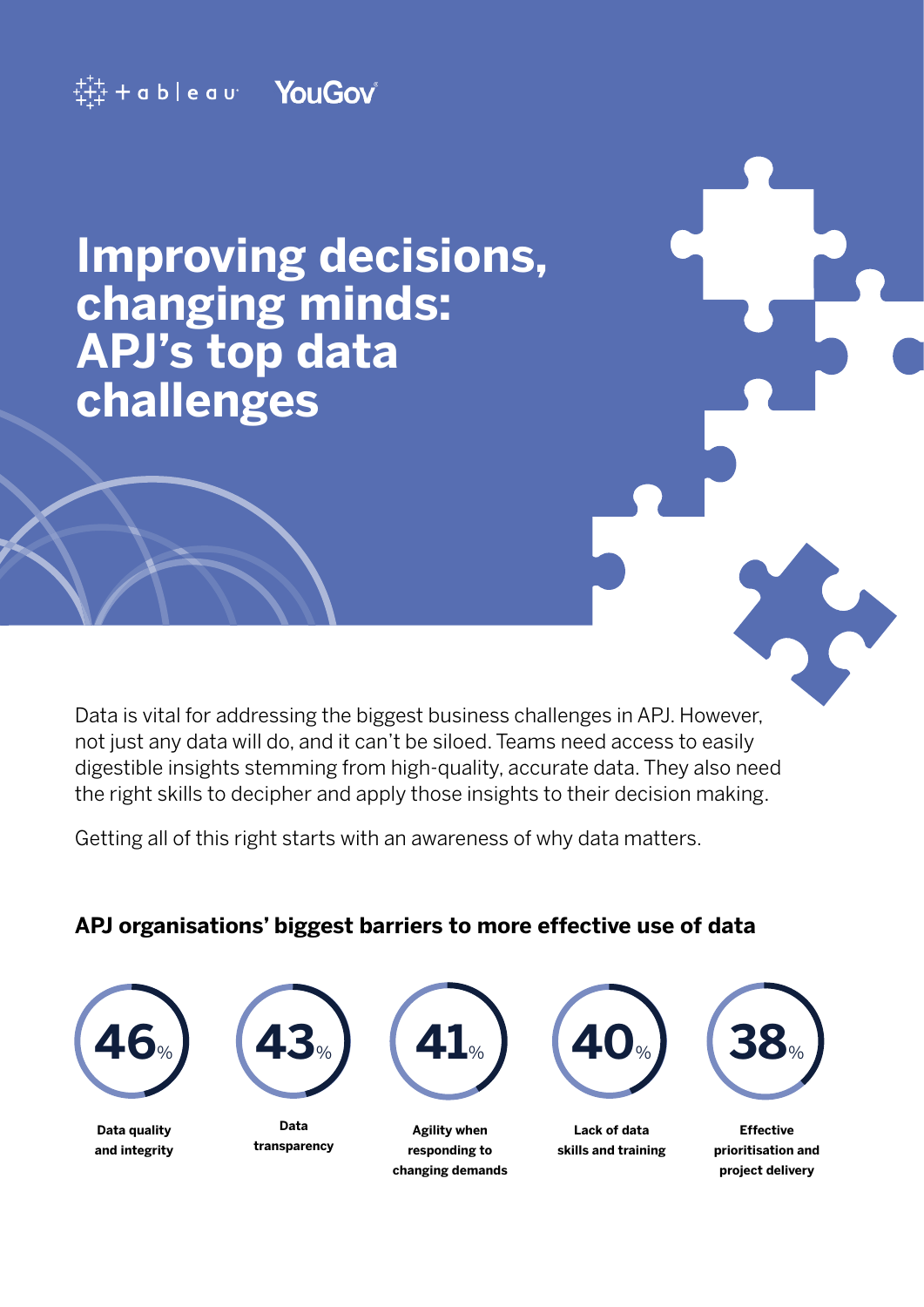

## **Improving decisions, changing minds: APJ's top data challenges**

Data is vital for addressing the biggest business challenges in APJ. However, not just any data will do, and it can't be siloed. Teams need access to easily digestible insights stemming from high-quality, accurate data. They also need the right skills to decipher and apply those insights to their decision making.

Getting all of this right starts with an awareness of why data matters.

### **APJ organisations' biggest barriers to more effective use of data**

| $\boldsymbol{\ell}$ | $\mathbf{O}_{\%}$ |
|---------------------|-------------------|
|                     |                   |

**Data quality and integrity**



**Data transparency**



**Agility when responding to changing demands**



**Lack of data skills and training**



**Effective prioritisation and project delivery**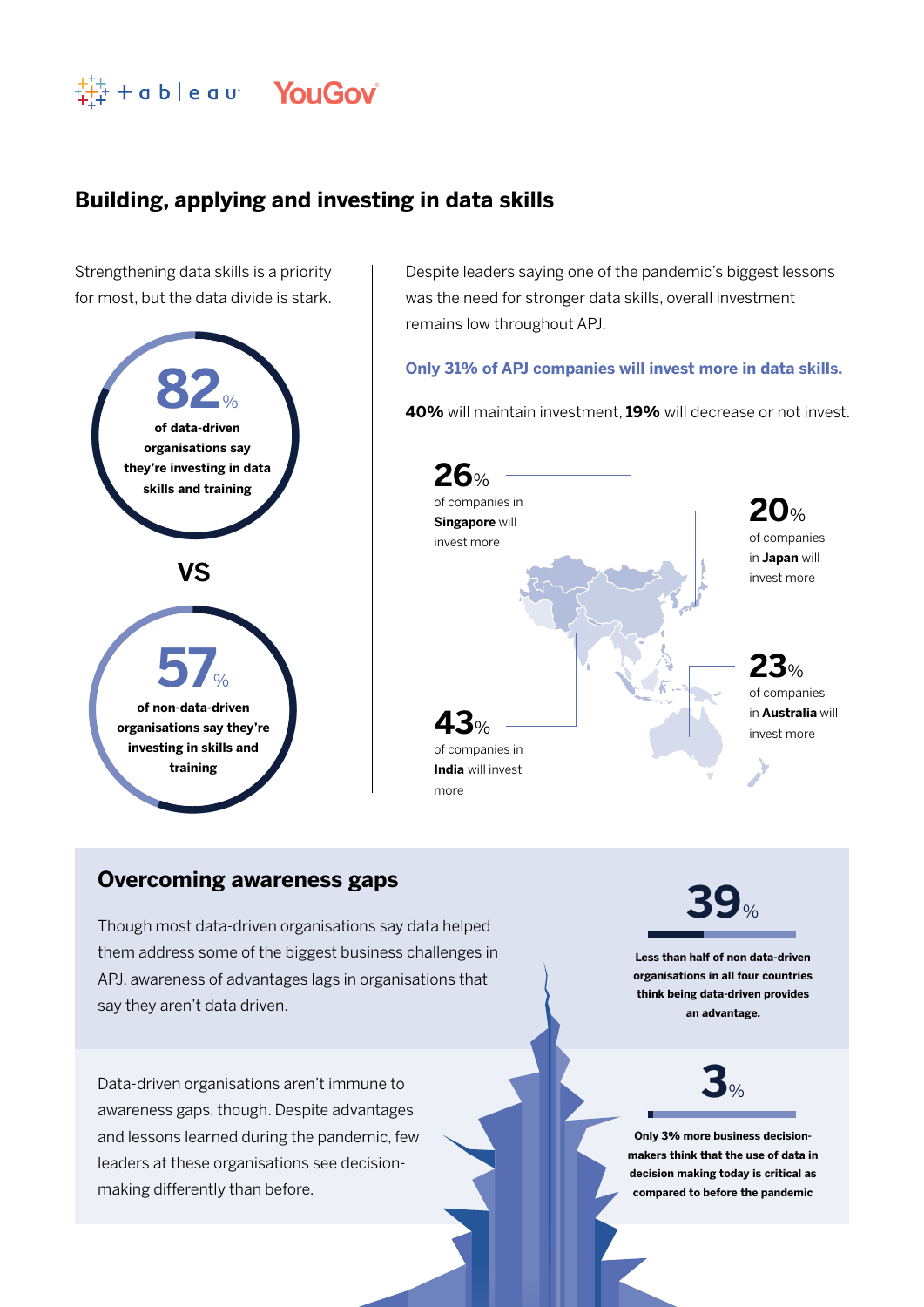

### **Building, applying and investing in data skills**

Strengthening data skills is a priority for most, but the data divide is stark.



Despite leaders saying one of the pandemic's biggest lessons was the need for stronger data skills, overall investment remains low throughout APJ.

#### **Only 31% of APJ companies will invest more in data skills.**

**40%** will maintain investment, **19%** will decrease or not invest.



#### **Overcoming awareness gaps**

Though most data-driven organisations say data helped them address some of the biggest business challenges in APJ, awareness of advantages lags in organisations that say they aren't data driven.

Data-driven organisations aren't immune to awareness gaps, though. Despite advantages and lessons learned during the pandemic, few leaders at these organisations see decisionmaking differently than before.

**39**%

**Less than half of non data-driven organisations in all four countries think being data-driven provides an advantage.**



**Only 3% more business decisionmakers think that the use of data in decision making today is critical as compared to before the pandemic**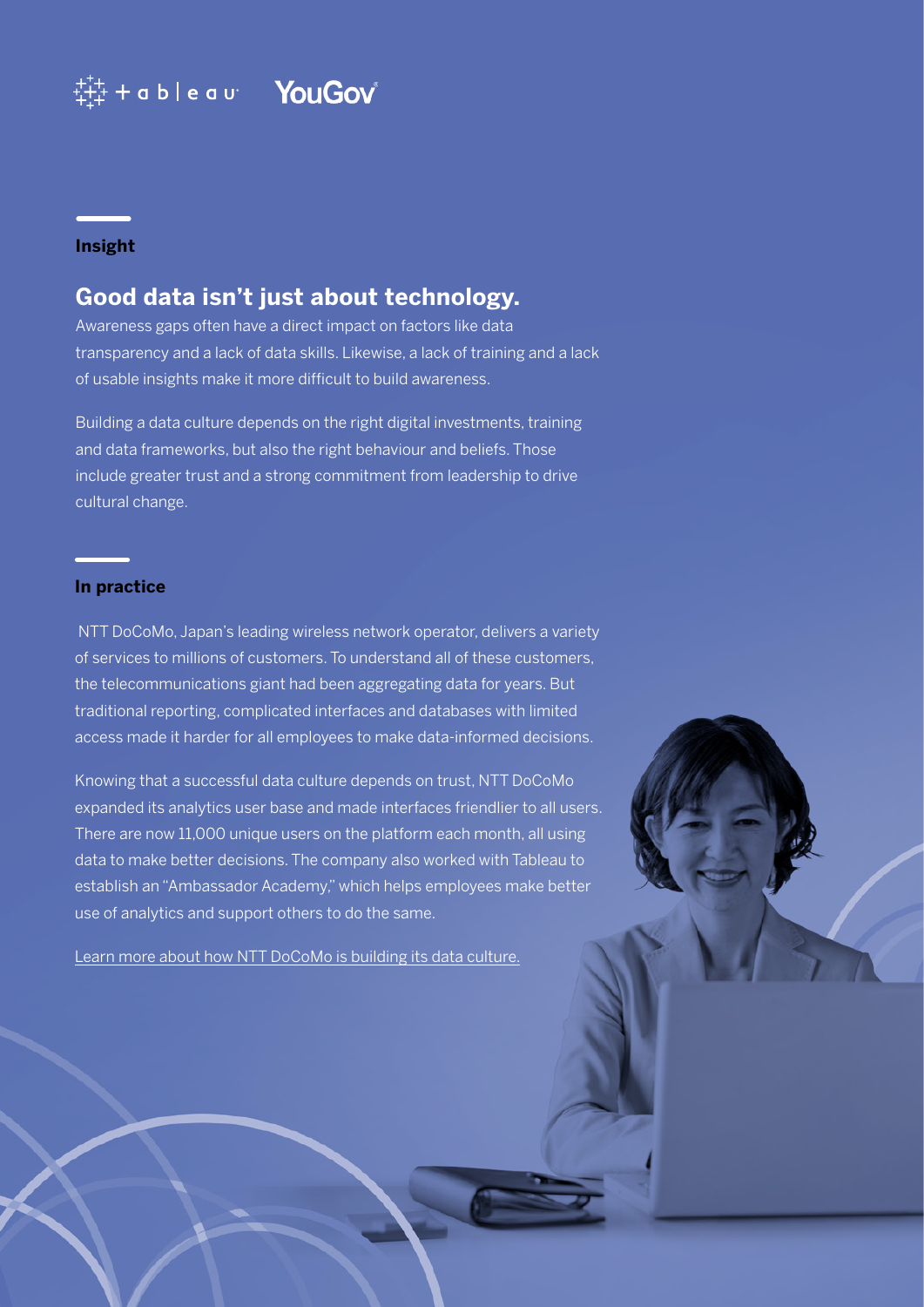### $\ddagger^{++}_{++}$  + a b | e a u  $\blacksquare$  YouGov

#### **Insight**

### **Good data isn't just about technology.**

Awareness gaps often have a direct impact on factors like data transparency and a lack of data skills. Likewise, a lack of training and a lack of usable insights make it more difficult to build awareness.

Building a data culture depends on the right digital investments, training and data frameworks, but also the right behaviour and beliefs. Those include greater trust and a strong commitment from leadership to drive cultural change.

#### **In practice**

 NTT DoCoMo, Japan's leading wireless network operator, delivers a variety of services to millions of customers. To understand all of these customers, the telecommunications giant had been aggregating data for years. But traditional reporting, complicated interfaces and databases with limited access made it harder for all employees to make data-informed decisions.

Knowing that a successful data culture depends on trust, NTT DoCoMo expanded its analytics user base and made interfaces friendlier to all users. There are now 11,000 unique users on the platform each month, all using data to make better decisions. The company also worked with Tableau to establish an "Ambassador Academy," which helps employees make better use of analytics and support others to do the same.

[Learn more about how NTT DoCoMo is building its data culture.](https://www.tableau.com/ja-jp/solutions/customer/NTTDocomo-utilises-data-in-Tableau-proactively-to-better-understand-your-customers)

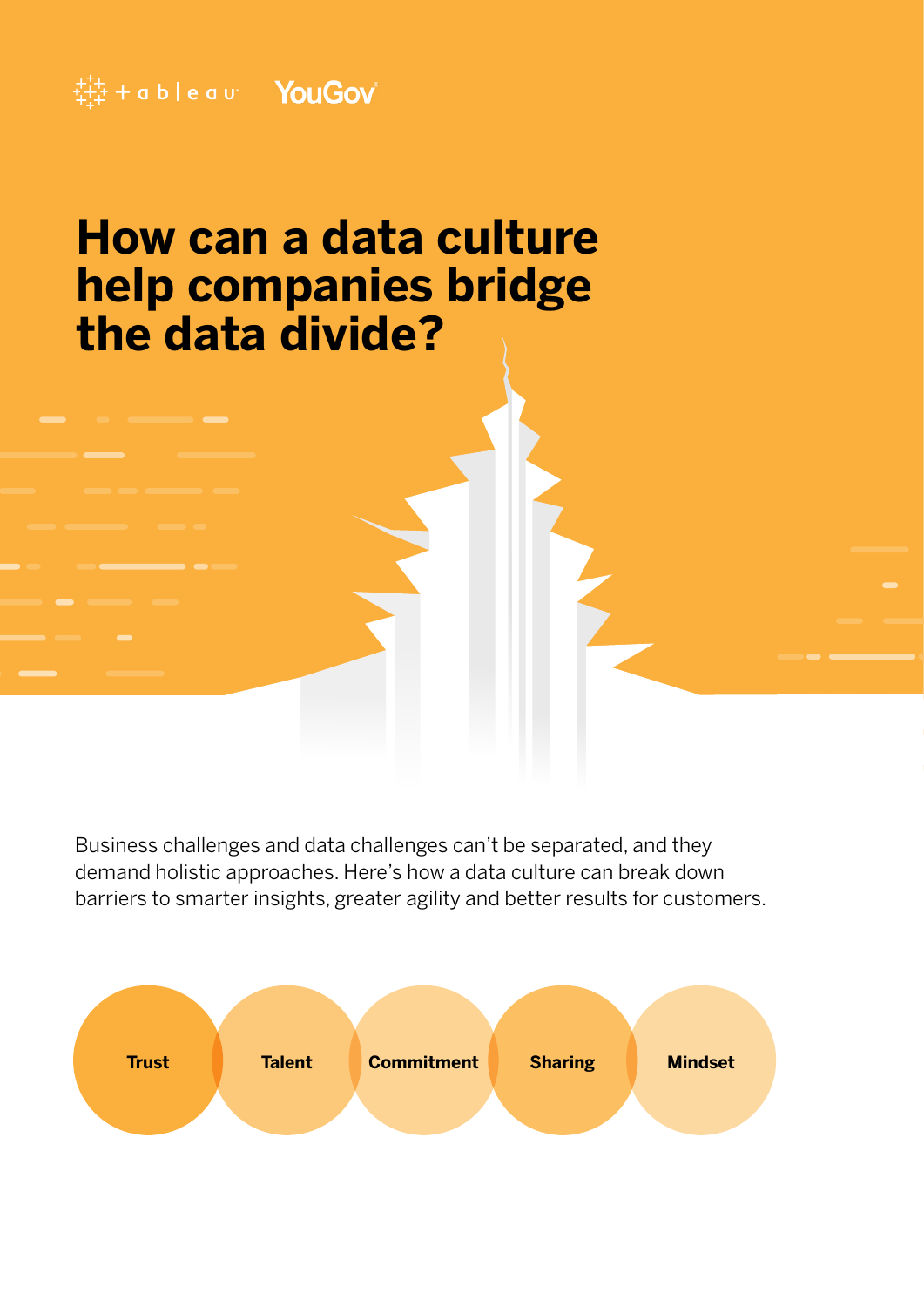### $\ddot{\ddot{}}\ddot{\ddot{}}\dot{\ddot{}}$  + a b | e a u  $\ddot{}$  YouGov

### **How can a data culture help companies bridge the data divide?**

Business challenges and data challenges can't be separated, and they demand holistic approaches. Here's how a data culture can break down barriers to smarter insights, greater agility and better results for customers.

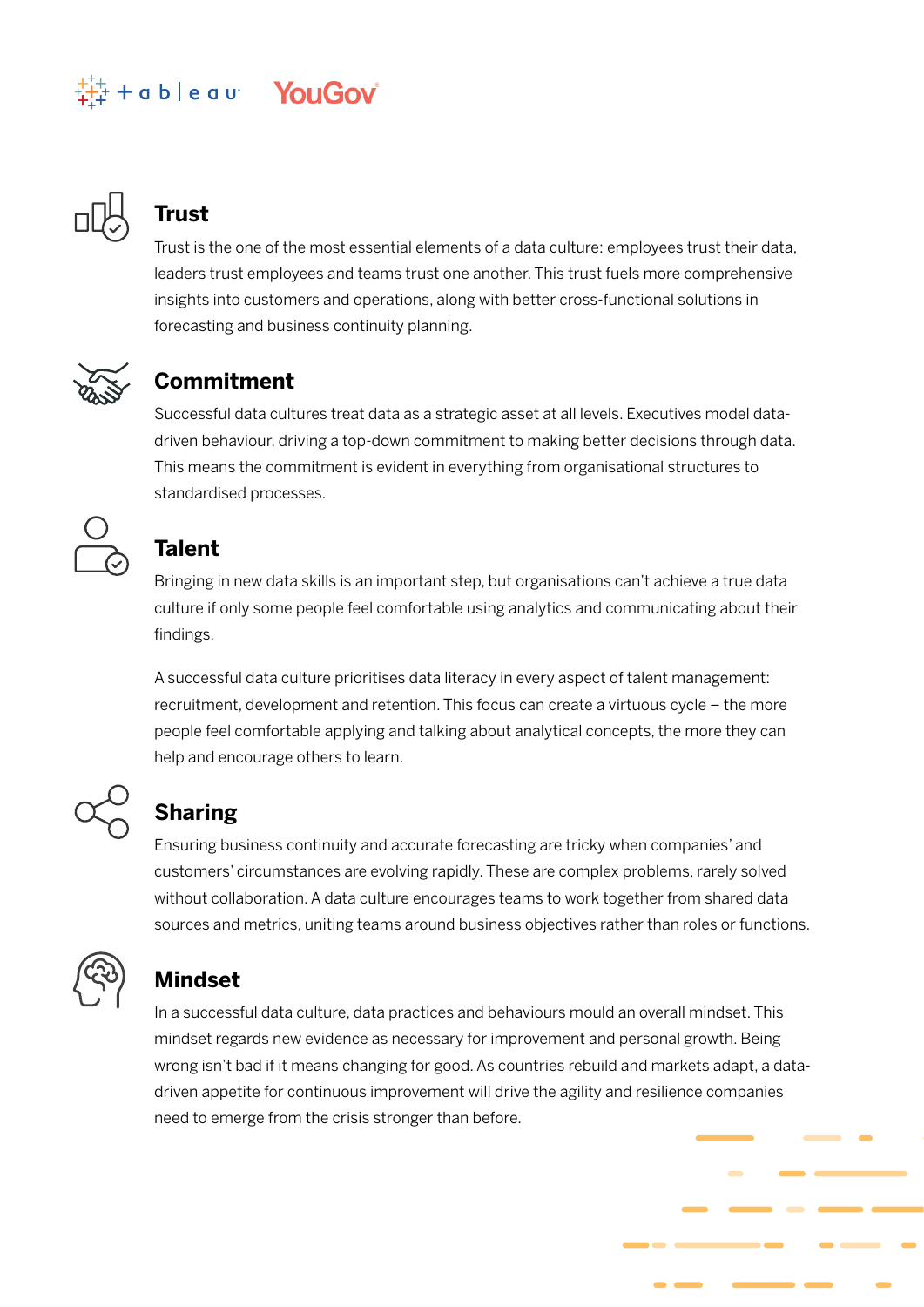### + a b | e a u<sup>2</sup> YouGov



### **Trust**

Trust is the one of the most essential elements of a data culture: employees trust their data, leaders trust employees and teams trust one another. This trust fuels more comprehensive insights into customers and operations, along with better cross-functional solutions in forecasting and business continuity planning.



### **Commitment**

Successful data cultures treat data as a strategic asset at all levels. Executives model datadriven behaviour, driving a top-down commitment to making better decisions through data. This means the commitment is evident in everything from organisational structures to standardised processes.



### **Talent**

Bringing in new data skills is an important step, but organisations can't achieve a true data culture if only some people feel comfortable using analytics and communicating about their findings.

A successful data culture prioritises data literacy in every aspect of talent management: recruitment, development and retention. This focus can create a virtuous cycle – the more people feel comfortable applying and talking about analytical concepts, the more they can help and encourage others to learn.

### **Sharing**

Ensuring business continuity and accurate forecasting are tricky when companies' and customers' circumstances are evolving rapidly. These are complex problems, rarely solved without collaboration. A data culture encourages teams to work together from shared data sources and metrics, uniting teams around business objectives rather than roles or functions.



### **Mindset**

In a successful data culture, data practices and behaviours mould an overall mindset. This mindset regards new evidence as necessary for improvement and personal growth. Being wrong isn't bad if it means changing for good. As countries rebuild and markets adapt, a datadriven appetite for continuous improvement will drive the agility and resilience companies need to emerge from the crisis stronger than before.